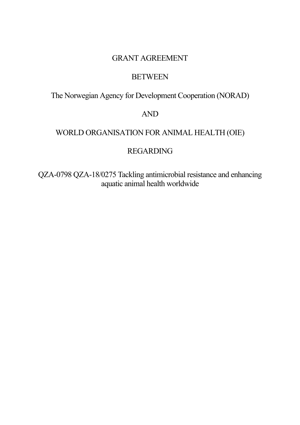# GRANT AGREEMENT

## **BETWEEN**

The Norwegian Agency for Development Cooperation (NORAD)

## AND

# WORLD ORGANISATION FOR ANIMAL HEALTH (OIE)

# REGARDING

QZA-0798 QZA-18/0275 Tackling antimicrobial resistance and enhancing aquatic animal health worldwide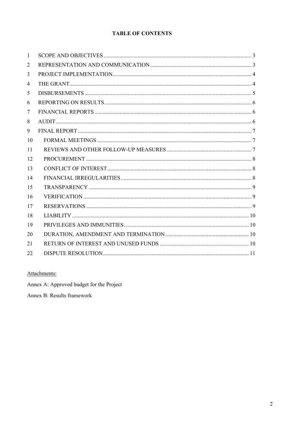## **TABLE OF CONTENTS**

| $\mathbf{1}$   |  |
|----------------|--|
| 2              |  |
| 3              |  |
| $\overline{4}$ |  |
| 5              |  |
| 6              |  |
| 7              |  |
| 8              |  |
| 9              |  |
| 10             |  |
| 11             |  |
| 12             |  |
| 13             |  |
| 14             |  |
| 15             |  |
| 16             |  |
| 17             |  |
| 18             |  |
| 19             |  |
| 20             |  |
| 21             |  |
| 22             |  |

## Attachments:

Annex A: Approved budget for the Project

Annex B: Results framework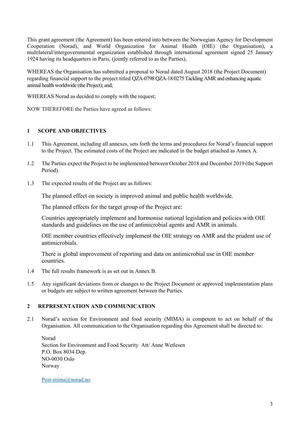This grant agreement (the Agreement) has been entered into between the Norwegian Agency for Development Cooperation (Norad), and World Organization for Animal Health (OIE) (the Organisation), a multilateral/intergovernmental organization established through international agreement signed 25 January 1924 having its headquarters in Paris, (jointly referred to as the Parties),

WHEREAS the Organisation has submitted a proposal to Norad dated August 2018 (the Project Document) regarding financial support to the project titled QZA-0798 QZA-18/0275 Tackling AMR and enhancing aquatic animal health worldwide (the Project); and;

WHEREAS Norad as decided to comply with the request;

NOW THEREFORE the Parties have agreed as follows:

#### **1 SCOPE AND OBJECTIVES**

- 1.1 This Agreement, including all annexes, sets forth the terms and procedures for Norad's financial support to the Project. The estimated costs of the Project are indicated in the budget attached as Annex A.
- 1.2 The Parties expect the Project to be implemented between October 2018 and December 2019 (the Support Period).
- 1.3 The expected results of the Project are as follows:

The planned effect on society is improved animal and public health worldwide.

The planned effects for the target group of the Project are:

Countries appropriately implement and harmonise national legislation and policies with OIE standards and guidelines on the use of antimicrobial agents and AMR in animals.

OIE member countries effectively implement the OIE strategy on AMR and the prudent use of antimicrobials.

There is global improvement of reporting and data on antimicrobial use in OIE member countries.

- 1.4 The full results framework is as set out in Annex B.
- 1.5 Any significant deviations from or changes to the Project Document or approved implementation plans or budgets are subject to written agreement between the Parties.

#### **2 REPRESENTATION AND COMMUNICATION**

2.1 Norad's section for Environment and food security (MIMA) is competent to act on behalf of the Organisation. All communication to the Organisation regarding this Agreement shall be directed to:

Norad Section for Environment and Food Security Att/ Anne Wetlesen P.O. Box 8034 Dep. NO-0030 Oslo Norway

Post-mima@norad.no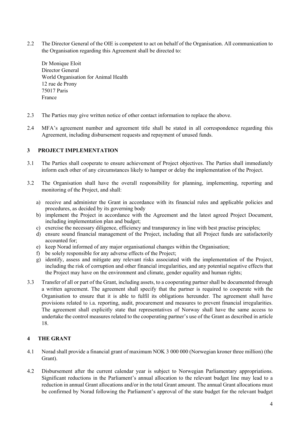2.2 The Director General of the OIE is competent to act on behalf of the Organisation. All communication to the Organisation regarding this Agreement shall be directed to:

Dr Monique Eloit Director General World Organisation for Animal Health 12 rue de Prony 75017 Paris France

- 2.3 The Parties may give written notice of other contact information to replace the above.
- 2.4 MFA's agreement number and agreement title shall be stated in all correspondence regarding this Agreement, including disbursement requests and repayment of unused funds.

#### **3 PROJECT IMPLEMENTATION**

- 3.1 The Parties shall cooperate to ensure achievement of Project objectives. The Parties shall immediately inform each other of any circumstances likely to hamper or delay the implementation of the Project.
- 3.2 The Organisation shall have the overall responsibility for planning, implementing, reporting and monitoring of the Project, and shall:
	- a) receive and administer the Grant in accordance with its financial rules and applicable policies and procedures, as decided by its governing body
	- b) implement the Project in accordance with the Agreement and the latest agreed Project Document, including implementation plan and budget;
	- c) exercise the necessary diligence, efficiency and transparency in line with best practise principles;
	- d) ensure sound financial management of the Project, including that all Project funds are satisfactorily accounted for;
	- e) keep Norad informed of any major organisational changes within the Organisation;
	- f) be solely responsible for any adverse effects of the Project;
	- g) identify, assess and mitigate any relevant risks associated with the implementation of the Project, including the risk of corruption and other financial irregularities, and any potential negative effects that the Project may have on the environment and climate, gender equality and human rights;
- 3.3 Transfer of all or part of the Grant, including assets, to a cooperating partner shall be documented through a written agreement. The agreement shall specify that the partner is required to cooperate with the Organisation to ensure that it is able to fulfil its obligations hereunder. The agreement shall have provisions related to i.a. reporting, audit, procurement and measures to prevent financial irregularities. The agreement shall explicitly state that representatives of Norway shall have the same access to undertake the control measures related to the cooperating partner's use of the Grant as described in article 18.

#### **4 THE GRANT**

- 4.1 Norad shall provide a financial grant of maximum NOK 3 000 000 (Norwegian kroner three million) (the Grant).
- 4.2 Disbursement after the current calendar year is subject to Norwegian Parliamentary appropriations. Significant reductions in the Parliament's annual allocation to the relevant budget line may lead to a reduction in annual Grant allocations and/or in the total Grant amount. The annual Grant allocations must be confirmed by Norad following the Parliament's approval of the state budget for the relevant budget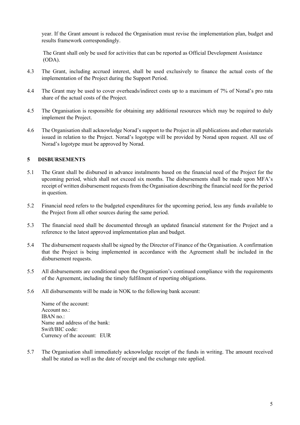year. If the Grant amount is reduced the Organisation must revise the implementation plan, budget and results framework correspondingly.

The Grant shall only be used for activities that can be reported as Official Development Assistance (ODA).

- 4.3 The Grant, including accrued interest, shall be used exclusively to finance the actual costs of the implementation of the Project during the Support Period.
- 4.4 The Grant may be used to cover overheads/indirect costs up to a maximum of 7% of Norad's pro rata share of the actual costs of the Project.
- 4.5 The Organisation is responsible for obtaining any additional resources which may be required to duly implement the Project.
- 4.6 The Organisation shall acknowledge Norad's support to the Project in all publications and other materials issued in relation to the Project. Norad's logotype will be provided by Norad upon request. All use of Norad's logotype must be approved by Norad.

#### **5 DISBURSEMENTS**

- 5.1 The Grant shall be disbursed in advance instalments based on the financial need of the Project for the upcoming period, which shall not exceed six months. The disbursements shall be made upon MFA's receipt of written disbursement requests from the Organisation describing the financial need for the period in question.
- 5.2 Financial need refers to the budgeted expenditures for the upcoming period, less any funds available to the Project from all other sources during the same period.
- 5.3 The financial need shall be documented through an updated financial statement for the Project and a reference to the latest approved implementation plan and budget.
- 5.4 The disbursement requests shall be signed by the Director of Finance of the Organisation. A confirmation that the Project is being implemented in accordance with the Agreement shall be included in the disbursement requests.
- 5.5 All disbursements are conditional upon the Organisation's continued compliance with the requirements of the Agreement, including the timely fulfilment of reporting obligations.
- 5.6 All disbursements will be made in NOK to the following bank account:

Name of the account: Account no.: IBAN no.: Name and address of the bank: Swift/BIC code: Currency of the account: EUR

5.7 The Organisation shall immediately acknowledge receipt of the funds in writing. The amount received shall be stated as well as the date of receipt and the exchange rate applied.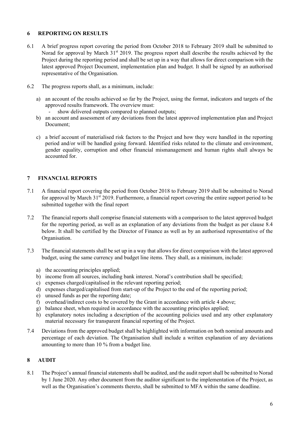#### **6 REPORTING ON RESULTS**

- 6.1 A brief progress report covering the period from October 2018 to February 2019 shall be submitted to Norad for approval by March 31<sup>st</sup> 2019. The progress report shall describe the results achieved by the Project during the reporting period and shall be set up in a way that allows for direct comparison with the latest approved Project Document, implementation plan and budget. It shall be signed by an authorised representative of the Organisation.
- 6.2 The progress reports shall, as a minimum, include:
	- a) an account of the results achieved so far by the Project, using the format, indicators and targets of the approved results framework. The overview must:
		- show delivered outputs compared to planned outputs;
	- b) an account and assessment of any deviations from the latest approved implementation plan and Project Document;
	- c) a brief account of materialised risk factors to the Project and how they were handled in the reporting period and/or will be handled going forward. Identified risks related to the climate and environment, gender equality, corruption and other financial mismanagement and human rights shall always be accounted for.

## **7 FINANCIAL REPORTS**

- 7.1 A financial report covering the period from October 2018 to February 2019 shall be submitted to Norad for approval by March 31<sup>st</sup> 2019. Furthermore, a financial report covering the entire support period to be submitted together with the final report
- 7.2 The financial reports shall comprise financial statements with a comparison to the latest approved budget for the reporting period, as well as an explanation of any deviations from the budget as per clause 8.4 below. It shall be certified by the Director of Finance as well as by an authorised representative of the Organisation.
- 7.3 The financial statements shall be set up in a way that allows for direct comparison with the latest approved budget, using the same currency and budget line items. They shall, as a minimum, include:
	- a) the accounting principles applied;
	- b) income from all sources, including bank interest. Norad's contribution shall be specified;
	- c) expenses charged/capitalised in the relevant reporting period;
	- d) expenses charged/capitalised from start-up of the Project to the end of the reporting period;
	- e) unused funds as per the reporting date;
	- f) overhead/indirect costs to be covered by the Grant in accordance with article 4 above;
	- g) balance sheet, when required in accordance with the accounting principles applied;
	- h) explanatory notes including a description of the accounting policies used and any other explanatory material necessary for transparent financial reporting of the Project.
- 7.4 Deviations from the approved budget shall be highlighted with information on both nominal amounts and percentage of each deviation. The Organisation shall include a written explanation of any deviations amounting to more than 10 % from a budget line.

## **8 AUDIT**

8.1 The Project's annual financial statements shall be audited, and the audit report shall be submitted to Norad by 1 June 2020. Any other document from the auditor significant to the implementation of the Project, as well as the Organisation's comments thereto, shall be submitted to MFA within the same deadline.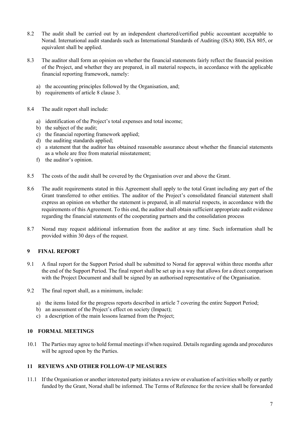- 8.2 The audit shall be carried out by an independent chartered/certified public accountant acceptable to Norad. International audit standards such as International Standards of Auditing (ISA) 800, ISA 805, or equivalent shall be applied.
- 8.3 The auditor shall form an opinion on whether the financial statements fairly reflect the financial position of the Project, and whether they are prepared, in all material respects, in accordance with the applicable financial reporting framework, namely:
	- a) the accounting principles followed by the Organisation, and;
	- b) requirements of article 8 clause 3.
- 8.4 The audit report shall include:
	- a) identification of the Project's total expenses and total income;
	- b) the subject of the audit;
	- c) the financial reporting framework applied;
	- d) the auditing standards applied;
	- e) a statement that the auditor has obtained reasonable assurance about whether the financial statements as a whole are free from material misstatement;
	- f) the auditor's opinion.
- 8.5 The costs of the audit shall be covered by the Organisation over and above the Grant.
- 8.6 The audit requirements stated in this Agreement shall apply to the total Grant including any part of the Grant transferred to other entities. The auditor of the Project's consolidated financial statement shall express an opinion on whether the statement is prepared, in all material respects, in accordance with the requirements of this Agreement. To this end, the auditor shall obtain sufficient appropriate audit evidence regarding the financial statements of the cooperating partners and the consolidation process
- 8.7 Norad may request additional information from the auditor at any time. Such information shall be provided within 30 days of the request.

## **9 FINAL REPORT**

- 9.1 A final report for the Support Period shall be submitted to Norad for approval within three months after the end of the Support Period. The final report shall be set up in a way that allows for a direct comparison with the Project Document and shall be signed by an authorised representative of the Organisation.
- 9.2 The final report shall, as a minimum, include:
	- a) the items listed for the progress reports described in article 7 covering the entire Support Period;
	- b) an assessment of the Project's effect on society (Impact);
	- c) a description of the main lessons learned from the Project;

## **10 FORMAL MEETINGS**

10.1 The Parties may agree to hold formal meetings if/when required. Details regarding agenda and procedures will be agreed upon by the Parties.

## **11 REVIEWS AND OTHER FOLLOW-UP MEASURES**

11.1 If the Organisation or another interested party initiates a review or evaluation of activities wholly or partly funded by the Grant, Norad shall be informed. The Terms of Reference for the review shall be forwarded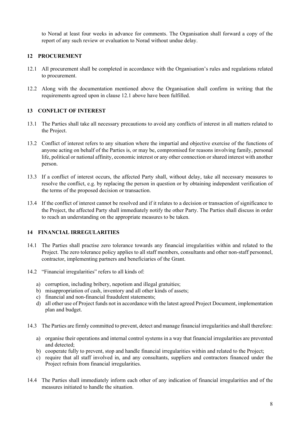to Norad at least four weeks in advance for comments. The Organisation shall forward a copy of the report of any such review or evaluation to Norad without undue delay.

#### **12 PROCUREMENT**

- 12.1 All procurement shall be completed in accordance with the Organisation's rules and regulations related to procurement.
- 12.2 Along with the documentation mentioned above the Organisation shall confirm in writing that the requirements agreed upon in clause 12.1 above have been fulfilled.

### **13 CONFLICT OF INTEREST**

- 13.1 The Parties shall take all necessary precautions to avoid any conflicts of interest in all matters related to the Project.
- 13.2 Conflict of interest refers to any situation where the impartial and objective exercise of the functions of anyone acting on behalf of the Parties is, or may be, compromised for reasons involving family, personal life, political or national affinity, economic interest or any other connection or shared interest with another person.
- 13.3 If a conflict of interest occurs, the affected Party shall, without delay, take all necessary measures to resolve the conflict, e.g. by replacing the person in question or by obtaining independent verification of the terms of the proposed decision or transaction.
- 13.4 If the conflict of interest cannot be resolved and if it relates to a decision or transaction of significance to the Project, the affected Party shall immediately notify the other Party. The Parties shall discuss in order to reach an understanding on the appropriate measures to be taken.

#### **14 FINANCIAL IRREGULARITIES**

- 14.1 The Parties shall practise zero tolerance towards any financial irregularities within and related to the Project. The zero tolerance policy applies to all staff members, consultants and other non-staff personnel, contractor, implementing partners and beneficiaries of the Grant.
- 14.2 "Financial irregularities" refers to all kinds of:
	- a) corruption, including bribery, nepotism and illegal gratuities;
	- b) misappropriation of cash, inventory and all other kinds of assets;
	- c) financial and non-financial fraudulent statements;
	- d) all other use of Project funds not in accordance with the latest agreed Project Document, implementation plan and budget.
- 14.3 The Parties are firmly committed to prevent, detect and manage financial irregularities and shall therefore:
	- a) organise their operations and internal control systems in a way that financial irregularities are prevented and detected;
	- b) cooperate fully to prevent, stop and handle financial irregularities within and related to the Project;
	- c) require that all staff involved in, and any consultants, suppliers and contractors financed under the Project refrain from financial irregularities.
- 14.4 The Parties shall immediately inform each other of any indication of financial irregularities and of the measures initiated to handle the situation.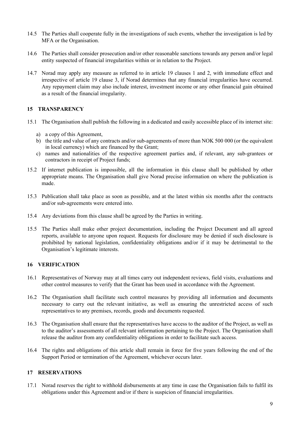- 14.5 The Parties shall cooperate fully in the investigations of such events, whether the investigation is led by MFA or the Organisation.
- 14.6 The Parties shall consider prosecution and/or other reasonable sanctions towards any person and/or legal entity suspected of financial irregularities within or in relation to the Project.
- 14.7 Norad may apply any measure as referred to in article 19 clauses 1 and 2, with immediate effect and irrespective of article 19 clause 3, if Norad determines that any financial irregularities have occurred. Any repayment claim may also include interest, investment income or any other financial gain obtained as a result of the financial irregularity.

#### **15 TRANSPARENCY**

- 15.1 The Organisation shall publish the following in a dedicated and easily accessible place of its internet site:
	- a) a copy of this Agreement,
	- b) the title and value of any contracts and/or sub-agreements of more than NOK 500 000 (or the equivalent in local currency) which are financed by the Grant;
	- c) names and nationalities of the respective agreement parties and, if relevant, any sub-grantees or contractors in receipt of Project funds;
- 15.2 If internet publication is impossible, all the information in this clause shall be published by other appropriate means. The Organisation shall give Norad precise information on where the publication is made.
- 15.3 Publication shall take place as soon as possible, and at the latest within six months after the contracts and/or sub-agreements were entered into.
- 15.4 Any deviations from this clause shall be agreed by the Parties in writing.
- 15.5 The Parties shall make other project documentation, including the Project Document and all agreed reports, available to anyone upon request. Requests for disclosure may be denied if such disclosure is prohibited by national legislation, confidentiality obligations and/or if it may be detrimental to the Organisation's legitimate interests.

#### **16 VERIFICATION**

- 16.1 Representatives of Norway may at all times carry out independent reviews, field visits, evaluations and other control measures to verify that the Grant has been used in accordance with the Agreement.
- 16.2 The Organisation shall facilitate such control measures by providing all information and documents necessary to carry out the relevant initiative, as well as ensuring the unrestricted access of such representatives to any premises, records, goods and documents requested.
- 16.3 The Organisation shall ensure that the representatives have access to the auditor of the Project, as well as to the auditor's assessments of all relevant information pertaining to the Project. The Organisation shall release the auditor from any confidentiality obligations in order to facilitate such access.
- 16.4 The rights and obligations of this article shall remain in force for five years following the end of the Support Period or termination of the Agreement, whichever occurs later.

#### **17 RESERVATIONS**

17.1 Norad reserves the right to withhold disbursements at any time in case the Organisation fails to fulfil its obligations under this Agreement and/or if there is suspicion of financial irregularities.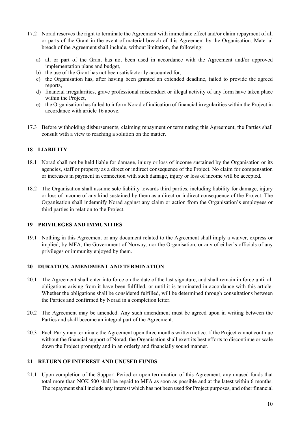- 17.2 Norad reserves the right to terminate the Agreement with immediate effect and/or claim repayment of all or parts of the Grant in the event of material breach of this Agreement by the Organisation. Material breach of the Agreement shall include, without limitation, the following:
	- a) all or part of the Grant has not been used in accordance with the Agreement and/or approved implementation plans and budget,
	- b) the use of the Grant has not been satisfactorily accounted for,
	- c) the Organisation has, after having been granted an extended deadline, failed to provide the agreed reports,
	- d) financial irregularities, grave professional misconduct or illegal activity of any form have taken place within the Project,
	- e) the Organisation has failed to inform Norad of indication of financial irregularities within the Project in accordance with article 16 above.
- 17.3 Before withholding disbursements, claiming repayment or terminating this Agreement, the Parties shall consult with a view to reaching a solution on the matter.

### **18 LIABILITY**

- 18.1 Norad shall not be held liable for damage, injury or loss of income sustained by the Organisation or its agencies, staff or property as a direct or indirect consequence of the Project. No claim for compensation or increases in payment in connection with such damage, injury or loss of income will be accepted.
- 18.2 The Organisation shall assume sole liability towards third parties, including liability for damage, injury or loss of income of any kind sustained by them as a direct or indirect consequence of the Project. The Organisation shall indemnify Norad against any claim or action from the Organisation's employees or third parties in relation to the Project.

#### **19 PRIVILEGES AND IMMUNITIES**

19.1 Nothing in this Agreement or any document related to the Agreement shall imply a waiver, express or implied, by MFA, the Government of Norway, nor the Organisation, or any of either's officials of any privileges or immunity enjoyed by them.

#### **20 DURATION, AMENDMENT AND TERMINATION**

- 20.1 The Agreement shall enter into force on the date of the last signature, and shall remain in force until all obligations arising from it have been fulfilled, or until it is terminated in accordance with this article. Whether the obligations shall be considered fulfilled, will be determined through consultations between the Parties and confirmed by Norad in a completion letter.
- 20.2 The Agreement may be amended. Any such amendment must be agreed upon in writing between the Parties and shall become an integral part of the Agreement.
- 20.3 Each Party may terminate the Agreement upon three months written notice. If the Project cannot continue without the financial support of Norad, the Organisation shall exert its best efforts to discontinue or scale down the Project promptly and in an orderly and financially sound manner.

### **21 RETURN OF INTEREST AND UNUSED FUNDS**

21.1 Upon completion of the Support Period or upon termination of this Agreement, any unused funds that total more than NOK 500 shall be repaid to MFA as soon as possible and at the latest within 6 months. The repayment shall include any interest which has not been used for Project purposes, and other financial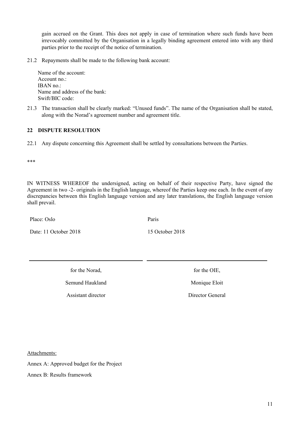gain accrued on the Grant. This does not apply in case of termination where such funds have been irrevocably committed by the Organisation in a legally binding agreement entered into with any third parties prior to the receipt of the notice of termination.

21.2 Repayments shall be made to the following bank account:

Name of the account: Account no.: IBAN no.: Name and address of the bank: Swift/BIC code:

21.3 The transaction shall be clearly marked: "Unused funds". The name of the Organisation shall be stated, along with the Norad's agreement number and agreement title.

## **22 DISPUTE RESOLUTION**

22.1 Any dispute concerning this Agreement shall be settled by consultations between the Parties.

\*\*\*

IN WITNESS WHEREOF the undersigned, acting on behalf of their respective Party, have signed the Agreement in two -2- originals in the English language, whereof the Parties keep one each. In the event of any discrepancies between this English language version and any later translations, the English language version shall prevail.

Place: Oslo

Date: 11 October 2018

Paris

15 October 2018

for the Norad,

Semund Haukland

Assistant director

for the OIE,

Monique Eloit

Director General

Attachments:

Annex A: Approved budget for the Project

Annex B: Results framework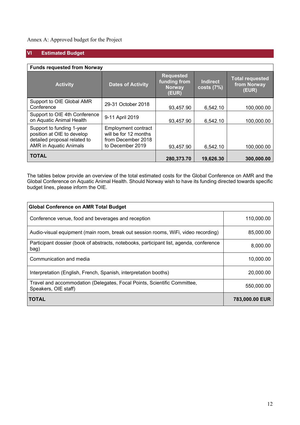## Annex A: Approved budget for the Project

## **VI Estimated Budget**

| <b>Funds requested from Norway</b>                                                                                       |                                                                                               |                                                            |                              |                                                |  |  |  |
|--------------------------------------------------------------------------------------------------------------------------|-----------------------------------------------------------------------------------------------|------------------------------------------------------------|------------------------------|------------------------------------------------|--|--|--|
| <b>Activity</b>                                                                                                          | <b>Dates of Activity</b>                                                                      | <b>Requested</b><br>funding from<br><b>Norway</b><br>(EUR) | <b>Indirect</b><br>costs(7%) | <b>Total requested</b><br>from Norway<br>(EUR) |  |  |  |
| Support to OIE Global AMR<br>Conference                                                                                  | 29-31 October 2018                                                                            | 93,457.90                                                  | 6,542.10                     | 100,000.00                                     |  |  |  |
| Support to OIE 4th Conference<br>on Aquatic Animal Health                                                                | 9-11 April 2019                                                                               | 93,457.90                                                  | 6,542.10                     | 100,000.00                                     |  |  |  |
| Support to funding 1-year<br>position at OIE to develop<br>detailed proposal related to<br><b>AMR</b> in Aquatic Animals | <b>Employment contract</b><br>will be for 12 months<br>from December 2018<br>to December 2019 | 93,457.90                                                  | 6,542.10                     | 100,000.00                                     |  |  |  |
| <b>TOTAL</b>                                                                                                             | 280,373.70                                                                                    | 19,626.30                                                  | 300,000.00                   |                                                |  |  |  |

The tables below provide an overview of the total estimated costs for the Global Conference on AMR and the Global Conference on Aquatic Animal Health. Should Norway wish to have its funding directed towards specific budget lines, please inform the OIE.

| <b>Global Conference on AMR Total Budget</b>                                                     |                |  |  |  |  |
|--------------------------------------------------------------------------------------------------|----------------|--|--|--|--|
| Conference venue, food and beverages and reception                                               | 110,000.00     |  |  |  |  |
| Audio-visual equipment (main room, break out session rooms, WiFi, video recording)               | 85,000.00      |  |  |  |  |
| Participant dossier (book of abstracts, notebooks, participant list, agenda, conference<br>bag)  | 8,000.00       |  |  |  |  |
| Communication and media                                                                          | 10,000.00      |  |  |  |  |
| Interpretation (English, French, Spanish, interpretation booths)                                 | 20,000.00      |  |  |  |  |
| Travel and accommodation (Delegates, Focal Points, Scientific Committee,<br>Speakers, OIE staff) | 550,000.00     |  |  |  |  |
| <b>TOTAL</b>                                                                                     | 783,000.00 EUR |  |  |  |  |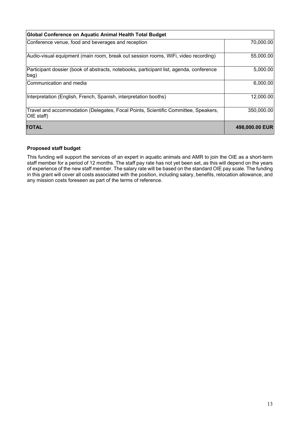| Global Conference on Aquatic Animal Health Total Budget                                          |                |
|--------------------------------------------------------------------------------------------------|----------------|
| Conference venue, food and beverages and reception                                               | 70,000.00      |
| Audio-visual equipment (main room, break out session rooms, WiFi, video recording)               | 55,000.00      |
| Participant dossier (book of abstracts, notebooks, participant list, agenda, conference<br>bag)  | 5,000.00       |
| Communication and media                                                                          | 6,000.00       |
| Interpretation (English, French, Spanish, interpretation booths)                                 | 12,000.00      |
| Travel and accommodation (Delegates, Focal Points, Scientific Committee, Speakers,<br>OIE staff) | 350,000.00     |
| <b>TOTAL</b>                                                                                     | 498,000.00 EUR |

#### **Proposed staff budget**

This funding will support the services of an expert in aquatic animals and AMR to join the OIE as a short-term staff member for a period of 12 months. The staff pay rate has not yet been set, as this will depend on the years of experience of the new staff member. The salary rate will be based on the standard OIE pay scale. The funding in this grant will cover all costs associated with the position, including salary, benefits, relocation allowance, and any mission costs foreseen as part of the terms of reference.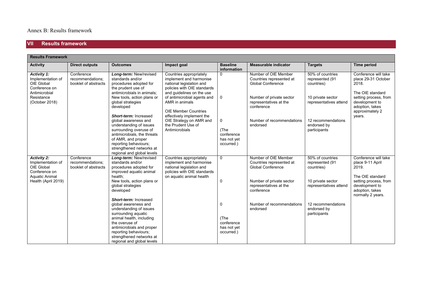#### **VII Results framework**

| <b>Results Framework</b>                                                                        |                                                        |                                                                                                                                                                                                                   |                                                                                                                                            |                                                                |                                                                              |                                                   |                                                                                         |
|-------------------------------------------------------------------------------------------------|--------------------------------------------------------|-------------------------------------------------------------------------------------------------------------------------------------------------------------------------------------------------------------------|--------------------------------------------------------------------------------------------------------------------------------------------|----------------------------------------------------------------|------------------------------------------------------------------------------|---------------------------------------------------|-----------------------------------------------------------------------------------------|
| <b>Activity</b>                                                                                 | <b>Direct outputs</b>                                  | <b>Outcomes</b>                                                                                                                                                                                                   | Impact goal                                                                                                                                | <b>Baseline</b><br>information                                 | <b>Measurable indicator</b>                                                  | <b>Targets</b>                                    | <b>Time period</b>                                                                      |
| <b>Activity 1:</b><br>Implementation of<br>OIE Global<br>Conference on<br>Antimicrobial         | Conference<br>recommendations:<br>booklet of abstracts | Long-term: New/revised<br>standards and/or<br>procedures adopted for<br>the prudent use of<br>antimicrobials in animals;                                                                                          | Countries appropriately<br>implement and harmonise<br>national legislation and<br>policies with OIE standards<br>and guidelines on the use | $\mathbf 0$                                                    | Number of OIE Member<br>Countries represented at<br><b>Global Conference</b> | 50% of countries<br>represented (91<br>countries) | Conference will take<br>place 29-31 October<br>2018.<br>The OIE standard                |
| Resistance<br>(October 2018)                                                                    |                                                        | New tools, action plans or<br>global strategies<br>developed<br>Short-term: Increased                                                                                                                             | of antimicrobial agents and<br>AMR in animals<br><b>OIE Member Countries</b><br>effectively implement the                                  | $\mathbf 0$                                                    | Number of private sector<br>representatives at the<br>conference             | 10 private sector<br>representatives attend       | setting process, from<br>development to<br>adoption, takes<br>approximately 2<br>years. |
|                                                                                                 |                                                        | global awareness and<br>understanding of issues<br>surrounding overuse of<br>antimicrobials, the threats<br>of AMR, and proper<br>reporting behaviours;<br>strengthened networks at<br>regional and global levels | OIE Strategy on AMR and<br>the Prudent Use of<br>Antimicrobials                                                                            | $\mathbf 0$<br>(The<br>conference<br>has not yet<br>occurred.) | Number of recommendations<br>endorsed                                        | 12 recommendations<br>endorsed by<br>participants |                                                                                         |
| <b>Activity 2:</b><br>Implementation of<br>OIE Global<br>Conference on<br><b>Aquatic Animal</b> | Conference<br>recommendations:<br>booklet of abstracts | Long-term: New/revised<br>standards and/or<br>procedures adopted for<br>improved aquatic animal<br>health:                                                                                                        | Countries appropriately<br>implement and harmonise<br>national legislation and<br>policies with OIE standards<br>on aquatic animal health  | $\mathbf{0}$                                                   | Number of OIE Member<br>Countries represented at<br><b>Global Conference</b> | 50% of countries<br>represented (91<br>countries) | Conference will take<br>place 9-11 April<br>2019.<br>The OIE standard                   |
| Health (April 2019)                                                                             |                                                        | New tools, action plans or<br>global strategies<br>developed<br><b>Short-term: Increased</b>                                                                                                                      |                                                                                                                                            | 0                                                              | Number of private sector<br>representatives at the<br>conference             | 10 private sector<br>representatives attend       | setting process, from<br>development to<br>adoption, takes<br>normally 2 years.         |
|                                                                                                 |                                                        | global awareness and<br>understanding of issues<br>surrounding aquatic<br>animal health, including<br>the overuse of<br>antimicrobials and proper                                                                 |                                                                                                                                            | 0<br>(The<br>conference<br>has not yet                         | Number of recommendations<br>endorsed                                        | 12 recommendations<br>endorsed by<br>participants |                                                                                         |
|                                                                                                 |                                                        | reporting behaviours;<br>strengthened networks at<br>regional and global levels                                                                                                                                   |                                                                                                                                            | occurred.)                                                     |                                                                              |                                                   |                                                                                         |